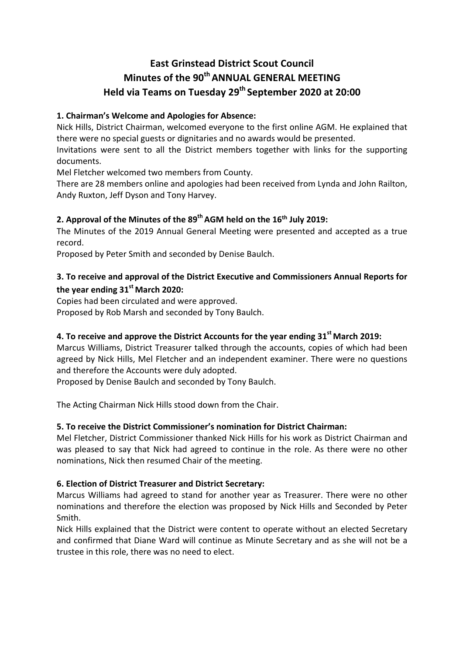# **East Grinstead District Scout Council Minutes of the 90th ANNUAL GENERAL MEETING Held via Teams on Tuesday 29th September 2020 at 20:00**

# **1. Chairman's Welcome and Apologies for Absence:**

Nick Hills, District Chairman, welcomed everyone to the first online AGM. He explained that there were no special guests or dignitaries and no awards would be presented.

Invitations were sent to all the District members together with links for the supporting documents.

Mel Fletcher welcomed two members from County.

There are 28 members online and apologies had been received from Lynda and John Railton, Andy Ruxton, Jeff Dyson and Tony Harvey.

# **2. Approval of the Minutes of the 89th AGM held on the 16th July 2019:**

The Minutes of the 2019 Annual General Meeting were presented and accepted as a true record.

Proposed by Peter Smith and seconded by Denise Baulch.

# **3. To receive and approval of the District Executive and Commissioners Annual Reports for**  the year ending 31<sup>st</sup> March 2020:

Copies had been circulated and were approved.

Proposed by Rob Marsh and seconded by Tony Baulch.

# **4. To receive and approve the District Accounts for the year ending 31st March 2019:**

Marcus Williams, District Treasurer talked through the accounts, copies of which had been agreed by Nick Hills, Mel Fletcher and an independent examiner. There were no questions and therefore the Accounts were duly adopted.

Proposed by Denise Baulch and seconded by Tony Baulch.

The Acting Chairman Nick Hills stood down from the Chair.

# **5. To receive the District Commissioner's nomination for District Chairman:**

Mel Fletcher, District Commissioner thanked Nick Hills for his work as District Chairman and was pleased to say that Nick had agreed to continue in the role. As there were no other nominations, Nick then resumed Chair of the meeting.

# **6. Election of District Treasurer and District Secretary:**

Marcus Williams had agreed to stand for another year as Treasurer. There were no other nominations and therefore the election was proposed by Nick Hills and Seconded by Peter Smith.

Nick Hills explained that the District were content to operate without an elected Secretary and confirmed that Diane Ward will continue as Minute Secretary and as she will not be a trustee in this role, there was no need to elect.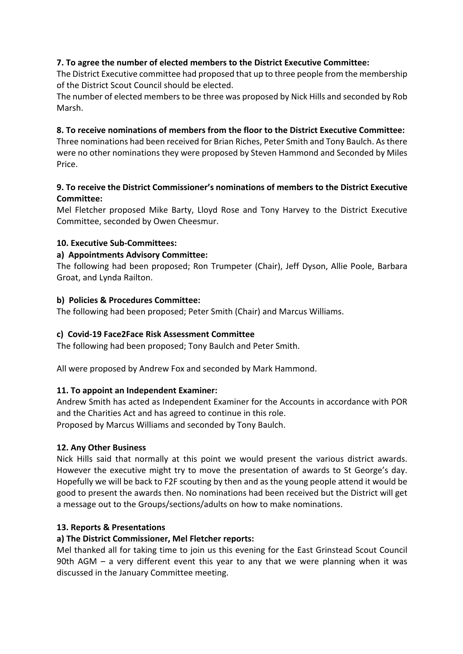# **7. To agree the number of elected members to the District Executive Committee:**

The District Executive committee had proposed that up to three people from the membership of the District Scout Council should be elected.

The number of elected members to be three was proposed by Nick Hills and seconded by Rob Marsh.

## **8. To receive nominations of members from the floor to the District Executive Committee:**

Three nominations had been received for Brian Riches, Peter Smith and Tony Baulch. As there were no other nominations they were proposed by Steven Hammond and Seconded by Miles Price.

# **9. To receive the District Commissioner's nominations of members to the District Executive Committee:**

Mel Fletcher proposed Mike Barty, Lloyd Rose and Tony Harvey to the District Executive Committee, seconded by Owen Cheesmur.

#### **10. Executive Sub-Committees:**

#### **a) Appointments Advisory Committee:**

The following had been proposed; Ron Trumpeter (Chair), Jeff Dyson, Allie Poole, Barbara Groat, and Lynda Railton.

#### **b) Policies & Procedures Committee:**

The following had been proposed; Peter Smith (Chair) and Marcus Williams.

#### **c) Covid-19 Face2Face Risk Assessment Committee**

The following had been proposed; Tony Baulch and Peter Smith.

All were proposed by Andrew Fox and seconded by Mark Hammond.

# **11. To appoint an Independent Examiner:**

Andrew Smith has acted as Independent Examiner for the Accounts in accordance with POR and the Charities Act and has agreed to continue in this role. Proposed by Marcus Williams and seconded by Tony Baulch.

# **12. Any Other Business**

Nick Hills said that normally at this point we would present the various district awards. However the executive might try to move the presentation of awards to St George's day. Hopefully we will be back to F2F scouting by then and as the young people attend it would be good to present the awards then. No nominations had been received but the District will get a message out to the Groups/sections/adults on how to make nominations.

#### **13. Reports & Presentations**

# **a) The District Commissioner, Mel Fletcher reports:**

Mel thanked all for taking time to join us this evening for the East Grinstead Scout Council 90th AGM – a very different event this year to any that we were planning when it was discussed in the January Committee meeting.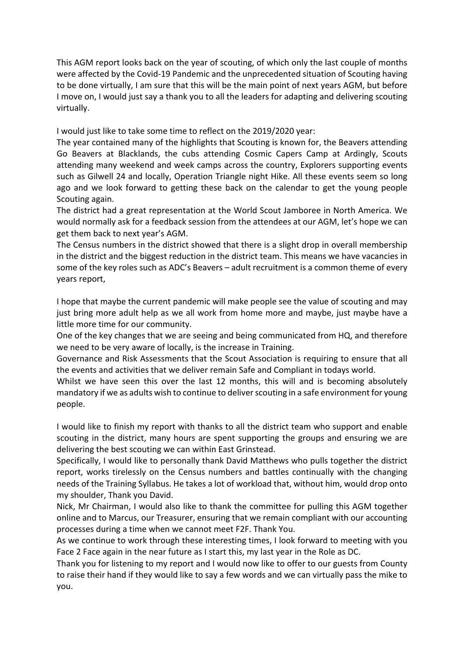This AGM report looks back on the year of scouting, of which only the last couple of months were affected by the Covid-19 Pandemic and the unprecedented situation of Scouting having to be done virtually, I am sure that this will be the main point of next years AGM, but before I move on, I would just say a thank you to all the leaders for adapting and delivering scouting virtually.

I would just like to take some time to reflect on the 2019/2020 year:

The year contained many of the highlights that Scouting is known for, the Beavers attending Go Beavers at Blacklands, the cubs attending Cosmic Capers Camp at Ardingly, Scouts attending many weekend and week camps across the country, Explorers supporting events such as Gilwell 24 and locally, Operation Triangle night Hike. All these events seem so long ago and we look forward to getting these back on the calendar to get the young people Scouting again.

The district had a great representation at the World Scout Jamboree in North America. We would normally ask for a feedback session from the attendees at our AGM, let's hope we can get them back to next year's AGM.

The Census numbers in the district showed that there is a slight drop in overall membership in the district and the biggest reduction in the district team. This means we have vacancies in some of the key roles such as ADC's Beavers – adult recruitment is a common theme of every years report,

I hope that maybe the current pandemic will make people see the value of scouting and may just bring more adult help as we all work from home more and maybe, just maybe have a little more time for our community.

One of the key changes that we are seeing and being communicated from HQ, and therefore we need to be very aware of locally, is the increase in Training.

Governance and Risk Assessments that the Scout Association is requiring to ensure that all the events and activities that we deliver remain Safe and Compliant in todays world.

Whilst we have seen this over the last 12 months, this will and is becoming absolutely mandatory if we as adults wish to continue to deliver scouting in a safe environment for young people.

I would like to finish my report with thanks to all the district team who support and enable scouting in the district, many hours are spent supporting the groups and ensuring we are delivering the best scouting we can within East Grinstead.

Specifically, I would like to personally thank David Matthews who pulls together the district report, works tirelessly on the Census numbers and battles continually with the changing needs of the Training Syllabus. He takes a lot of workload that, without him, would drop onto my shoulder, Thank you David.

Nick, Mr Chairman, I would also like to thank the committee for pulling this AGM together online and to Marcus, our Treasurer, ensuring that we remain compliant with our accounting processes during a time when we cannot meet F2F. Thank You.

As we continue to work through these interesting times, I look forward to meeting with you Face 2 Face again in the near future as I start this, my last year in the Role as DC.

Thank you for listening to my report and I would now like to offer to our guests from County to raise their hand if they would like to say a few words and we can virtually pass the mike to you.